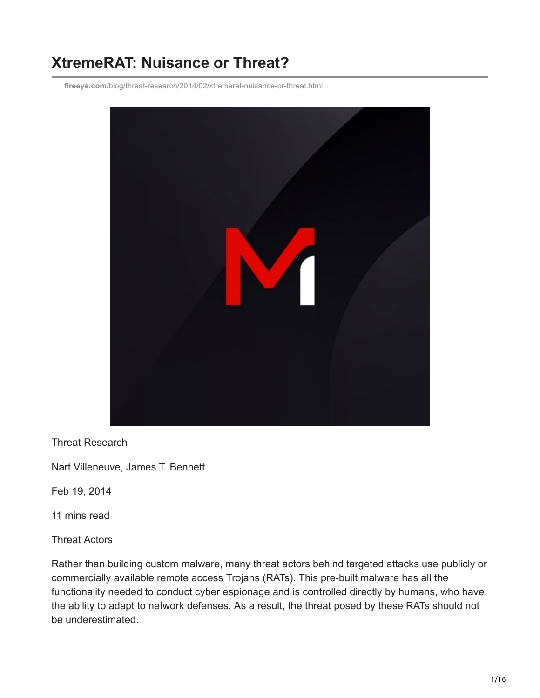# **XtremeRAT: Nuisance or Threat?**

**fireeye.com**[/blog/threat-research/2014/02/xtremerat-nuisance-or-threat.html](https://www.fireeye.com/blog/threat-research/2014/02/xtremerat-nuisance-or-threat.html)



Threat Research

Nart Villeneuve, James T. Bennett

Feb 19, 2014

11 mins read

Threat Actors

Rather than building custom malware, many threat actors behind targeted attacks use publicly or commercially available remote access Trojans (RATs). This pre-built malware has all the functionality needed to conduct cyber espionage and is controlled directly by humans, who have the ability to adapt to network defenses. As a result, the threat posed by these RATs should not be underestimated.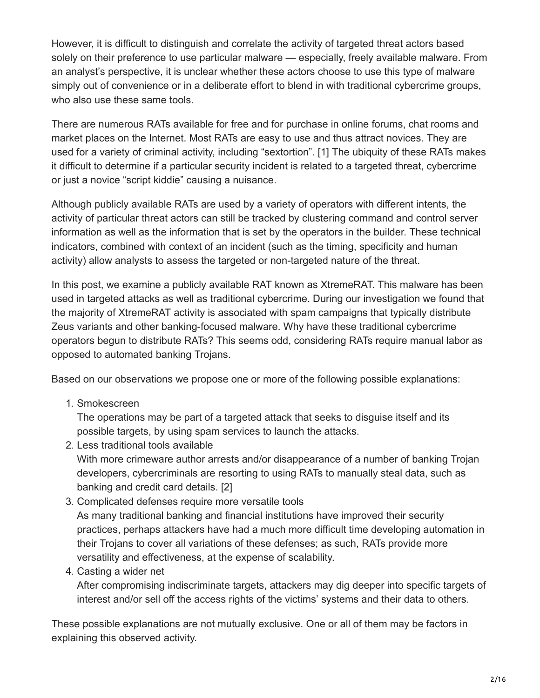However, it is difficult to distinguish and correlate the activity of targeted threat actors based solely on their preference to use particular malware — especially, freely available malware. From an analyst's perspective, it is unclear whether these actors choose to use this type of malware simply out of convenience or in a deliberate effort to blend in with traditional cybercrime groups, who also use these same tools.

There are numerous RATs available for free and for purchase in online forums, chat rooms and market places on the Internet. Most RATs are easy to use and thus attract novices. They are used for a variety of criminal activity, including "sextortion". [1] The ubiquity of these RATs makes it difficult to determine if a particular security incident is related to a targeted threat, cybercrime or just a novice "script kiddie" causing a nuisance.

Although publicly available RATs are used by a variety of operators with different intents, the activity of particular threat actors can still be tracked by clustering command and control server information as well as the information that is set by the operators in the builder. These technical indicators, combined with context of an incident (such as the timing, specificity and human activity) allow analysts to assess the targeted or non-targeted nature of the threat.

In this post, we examine a publicly available RAT known as XtremeRAT. This malware has been used in targeted attacks as well as traditional cybercrime. During our investigation we found that the majority of XtremeRAT activity is associated with spam campaigns that typically distribute Zeus variants and other banking-focused malware. Why have these traditional cybercrime operators begun to distribute RATs? This seems odd, considering RATs require manual labor as opposed to automated banking Trojans.

Based on our observations we propose one or more of the following possible explanations:

1. Smokescreen

The operations may be part of a targeted attack that seeks to disguise itself and its possible targets, by using spam services to launch the attacks.

2. Less traditional tools available

With more crimeware author arrests and/or disappearance of a number of banking Trojan developers, cybercriminals are resorting to using RATs to manually steal data, such as banking and credit card details. [2]

- 3. Complicated defenses require more versatile tools As many traditional banking and financial institutions have improved their security practices, perhaps attackers have had a much more difficult time developing automation in their Trojans to cover all variations of these defenses; as such, RATs provide more versatility and effectiveness, at the expense of scalability.
- 4. Casting a wider net

After compromising indiscriminate targets, attackers may dig deeper into specific targets of interest and/or sell off the access rights of the victims' systems and their data to others.

These possible explanations are not mutually exclusive. One or all of them may be factors in explaining this observed activity.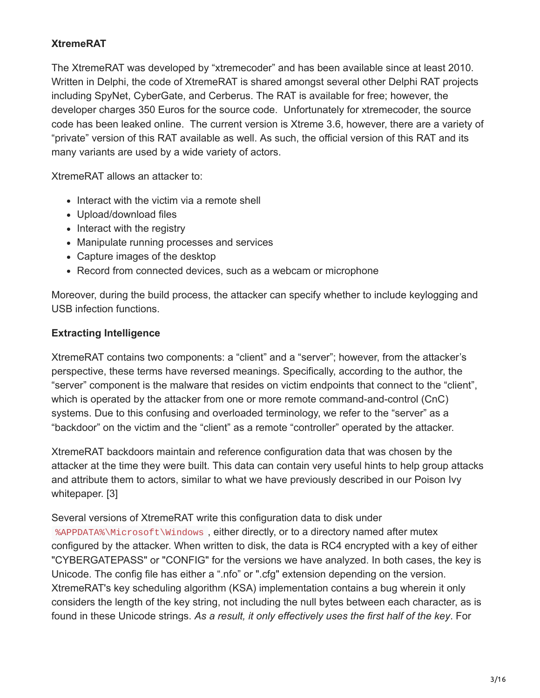## **XtremeRAT**

The XtremeRAT was developed by "xtremecoder" and has been available since at least 2010. Written in Delphi, the code of XtremeRAT is shared amongst several other Delphi RAT projects including SpyNet, CyberGate, and Cerberus. The RAT is available for free; however, the developer charges 350 Euros for the source code. Unfortunately for xtremecoder, the source code has been leaked online. The current version is Xtreme 3.6, however, there are a variety of "private" version of this RAT available as well. As such, the official version of this RAT and its many variants are used by a wide variety of actors.

XtremeRAT allows an attacker to:

- Interact with the victim via a remote shell
- Upload/download files
- $\bullet$  Interact with the registry
- Manipulate running processes and services
- Capture images of the desktop
- Record from connected devices, such as a webcam or microphone

Moreover, during the build process, the attacker can specify whether to include keylogging and USB infection functions.

#### **Extracting Intelligence**

XtremeRAT contains two components: a "client" and a "server"; however, from the attacker's perspective, these terms have reversed meanings. Specifically, according to the author, the "server" component is the malware that resides on victim endpoints that connect to the "client", which is operated by the attacker from one or more remote command-and-control (CnC) systems. Due to this confusing and overloaded terminology, we refer to the "server" as a "backdoor" on the victim and the "client" as a remote "controller" operated by the attacker.

XtremeRAT backdoors maintain and reference configuration data that was chosen by the attacker at the time they were built. This data can contain very useful hints to help group attacks and attribute them to actors, similar to what we have previously described in our Poison Ivy whitepaper. [3]

Several versions of XtremeRAT write this configuration data to disk under %APPDATA%\Microsoft\Windows , either directly, or to a directory named after mutex configured by the attacker. When written to disk, the data is RC4 encrypted with a key of either "CYBERGATEPASS" or "CONFIG" for the versions we have analyzed. In both cases, the key is Unicode. The config file has either a ".nfo" or ".cfg" extension depending on the version. XtremeRAT's key scheduling algorithm (KSA) implementation contains a bug wherein it only considers the length of the key string, not including the null bytes between each character, as is found in these Unicode strings. *As a result, it only effectively uses the first half of the key*. For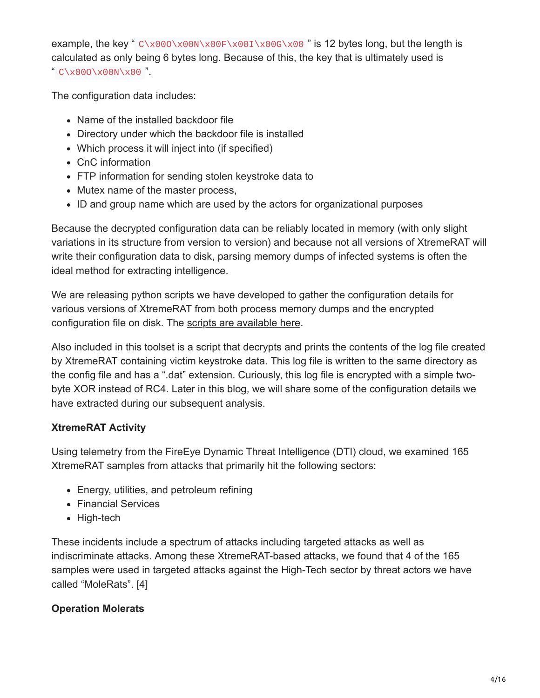example, the key " C\x000\x00N\x00F\x00I\x00G\x00 " is 12 bytes long, but the length is calculated as only being 6 bytes long. Because of this, the key that is ultimately used is " C\x00O\x00N\x00 ".

The configuration data includes:

- Name of the installed backdoor file
- Directory under which the backdoor file is installed
- Which process it will inject into (if specified)
- CnC information
- FTP information for sending stolen keystroke data to
- Mutex name of the master process,
- ID and group name which are used by the actors for organizational purposes

Because the decrypted configuration data can be reliably located in memory (with only slight variations in its structure from version to version) and because not all versions of XtremeRAT will write their configuration data to disk, parsing memory dumps of infected systems is often the ideal method for extracting intelligence.

We are releasing python scripts we have developed to gather the configuration details for various versions of XtremeRAT from both process memory dumps and the encrypted configuration file on disk. The [scripts are available here.](https://github.com/fireeye/tools/tree/master/malware/Xtreme%20RAT)

Also included in this toolset is a script that decrypts and prints the contents of the log file created by XtremeRAT containing victim keystroke data. This log file is written to the same directory as the config file and has a ".dat" extension. Curiously, this log file is encrypted with a simple twobyte XOR instead of RC4. Later in this blog, we will share some of the configuration details we have extracted during our subsequent analysis.

# **XtremeRAT Activity**

Using telemetry from the FireEye Dynamic Threat Intelligence (DTI) cloud, we examined 165 XtremeRAT samples from attacks that primarily hit the following sectors:

- Energy, utilities, and petroleum refining
- Financial Services
- High-tech

These incidents include a spectrum of attacks including targeted attacks as well as indiscriminate attacks. Among these XtremeRAT-based attacks, we found that 4 of the 165 samples were used in targeted attacks against the High-Tech sector by threat actors we have called "MoleRats". [4]

# **Operation Molerats**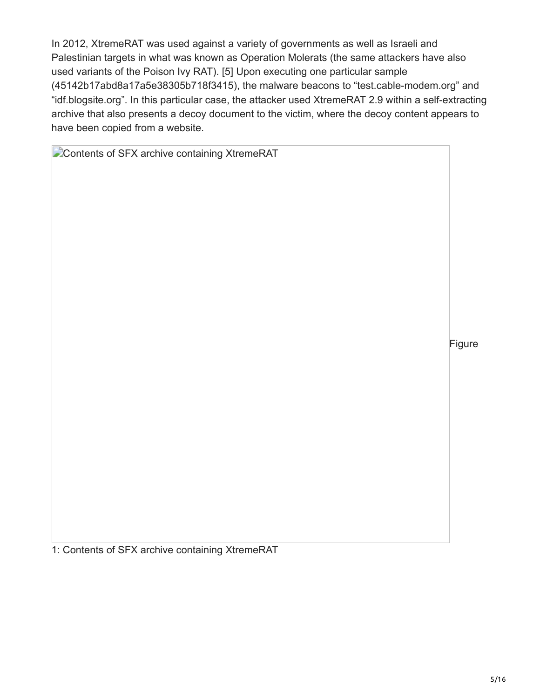In 2012, XtremeRAT was used against a variety of governments as well as Israeli and Palestinian targets in what was known as Operation Molerats (the same attackers have also used variants of the Poison Ivy RAT). [5] Upon executing one particular sample (45142b17abd8a17a5e38305b718f3415), the malware beacons to "test.cable-modem.org" and "idf.blogsite.org". In this particular case, the attacker used XtremeRAT 2.9 within a self-extracting archive that also presents a decoy document to the victim, where the decoy content appears to have been copied from a website.

**Contents of SFX archive containing XtremeRAT** 

Figure

1: Contents of SFX archive containing XtremeRAT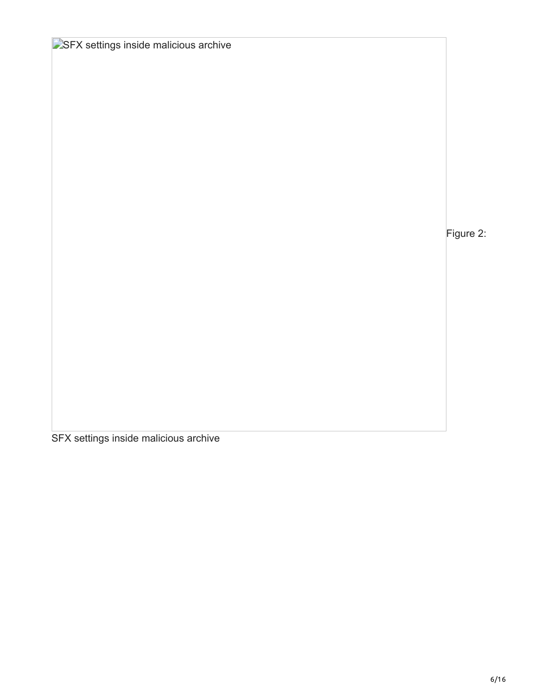Figure 2:

SFX settings inside malicious archive

**SSFX settings inside malicious archive**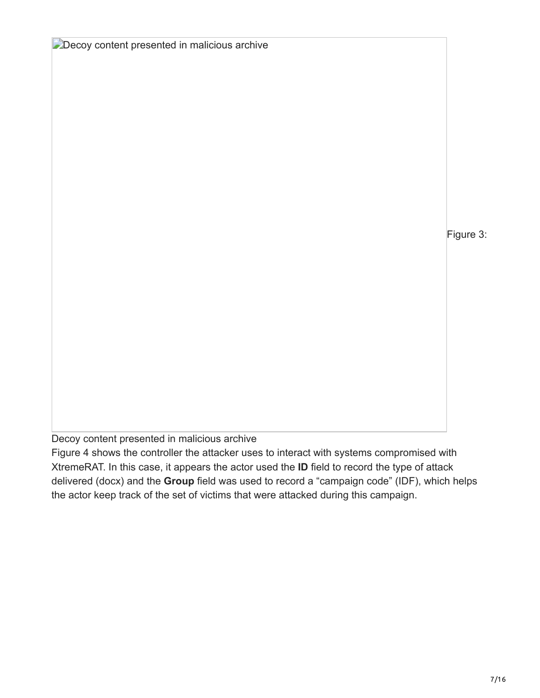**Decoy content presented in malicious archive** 

Figure 3:

Decoy content presented in malicious archive

Figure 4 shows the controller the attacker uses to interact with systems compromised with XtremeRAT. In this case, it appears the actor used the **ID** field to record the type of attack delivered (docx) and the **Group** field was used to record a "campaign code" (IDF), which helps the actor keep track of the set of victims that were attacked during this campaign.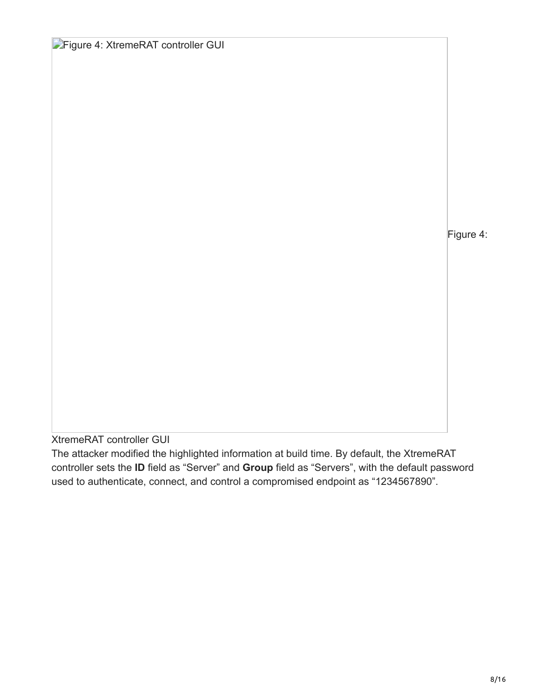**Figure 4: XtremeRAT controller GUI** 

Figure 4:

XtremeRAT controller GUI

The attacker modified the highlighted information at build time. By default, the XtremeRAT controller sets the **ID** field as "Server" and **Group** field as "Servers", with the default password used to authenticate, connect, and control a compromised endpoint as "1234567890".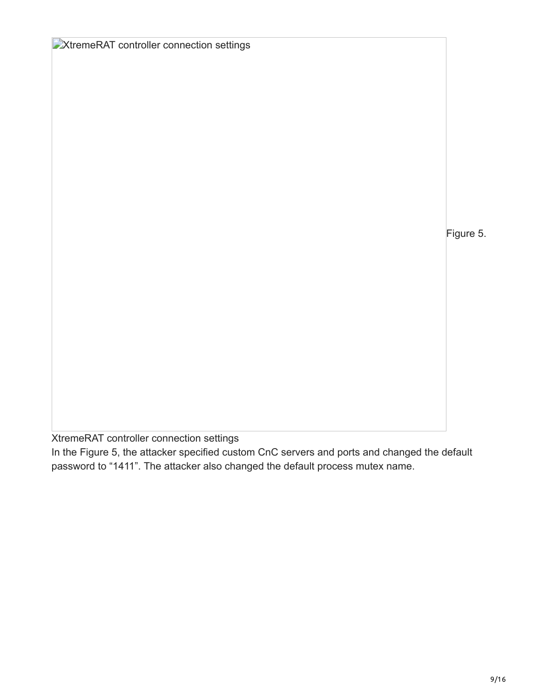Figure 5.

XtremeRAT controller connection settings

**EXtremeRAT controller connection settings** 

In the Figure 5, the attacker specified custom CnC servers and ports and changed the default password to "1411". The attacker also changed the default process mutex name.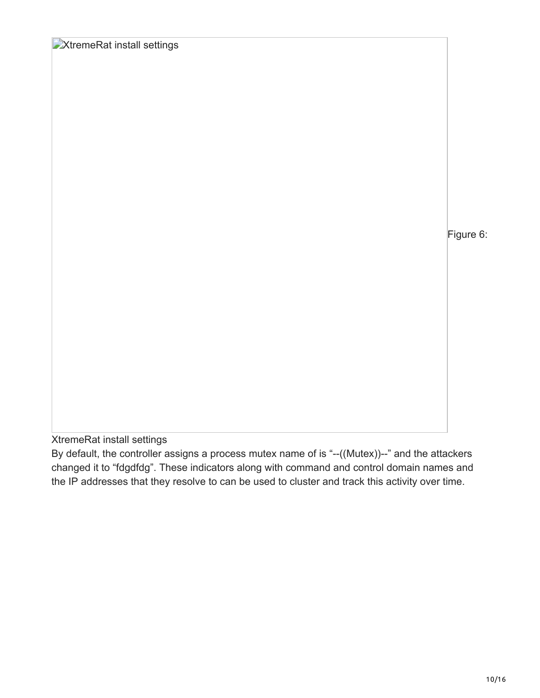**XtremeRat install settings** 

Figure 6:

XtremeRat install settings

By default, the controller assigns a process mutex name of is "--((Mutex))--" and the attackers changed it to "fdgdfdg". These indicators along with command and control domain names and the IP addresses that they resolve to can be used to cluster and track this activity over time.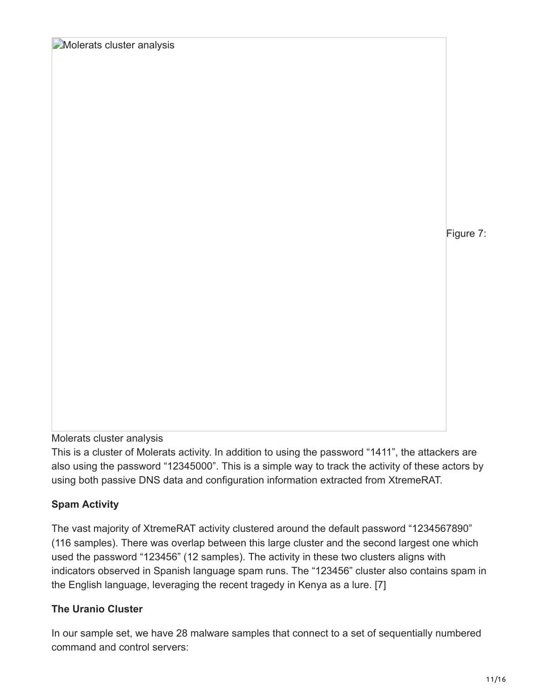**Molerats cluster analysis** 

Figure 7:

#### Molerats cluster analysis

This is a cluster of Molerats activity. In addition to using the password "1411", the attackers are also using the password "12345000". This is a simple way to track the activity of these actors by using both passive DNS data and configuration information extracted from XtremeRAT.

## **Spam Activity**

The vast majority of XtremeRAT activity clustered around the default password "1234567890" (116 samples). There was overlap between this large cluster and the second largest one which used the password "123456" (12 samples). The activity in these two clusters aligns with indicators observed in Spanish language spam runs. The "123456" cluster also contains spam in the English language, leveraging the recent tragedy in Kenya as a lure. [7]

## **The Uranio Cluster**

In our sample set, we have 28 malware samples that connect to a set of sequentially numbered command and control servers: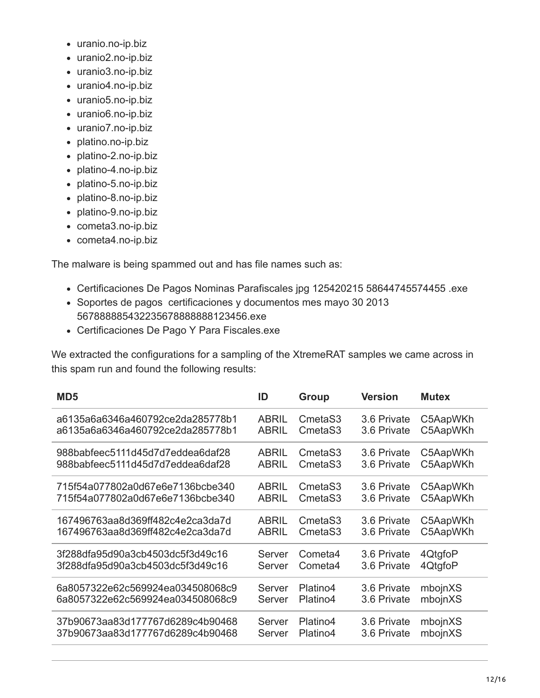- uranio.no-ip.biz
- uranio2.no-ip.biz
- uranio3.no-ip.biz
- uranio4.no-ip.biz
- uranio5.no-ip.biz
- uranio6.no-ip.biz
- uranio7.no-ip.biz
- platino.no-ip.biz
- platino-2.no-ip.biz
- platino-4.no-ip.biz
- platino-5.no-ip.biz
- platino-8.no-ip.biz
- platino-9.no-ip.biz
- cometa3.no-ip.biz
- cometa4.no-ip.biz

The malware is being spammed out and has file names such as:

- Certificaciones De Pagos Nominas Parafiscales jpg 125420215 58644745574455 .exe
- Soportes de pagos certificaciones y documentos mes mayo 30 2013 567888885432235678888888123456.exe
- Certificaciones De Pago Y Para Fiscales.exe

We extracted the configurations for a sampling of the XtremeRAT samples we came across in this spam run and found the following results:

| MD <sub>5</sub>                  | ID           | Group               | <b>Version</b> | <b>Mutex</b> |
|----------------------------------|--------------|---------------------|----------------|--------------|
| a6135a6a6346a460792ce2da285778b1 | <b>ABRIL</b> | Cmeta <sub>S3</sub> | 3.6 Private    | C5AapWKh     |
| a6135a6a6346a460792ce2da285778b1 | <b>ABRIL</b> | CmetaS3             | 3.6 Private    | C5AapWKh     |
| 988babfeec5111d45d7d7eddea6daf28 | <b>ABRIL</b> | CmetaS3             | 3.6 Private    | C5AapWKh     |
| 988babfeec5111d45d7d7eddea6daf28 | <b>ABRIL</b> | Cmeta <sub>S3</sub> | 3.6 Private    | C5AapWKh     |
| 715f54a077802a0d67e6e7136bcbe340 | <b>ABRIL</b> | Cmeta <sub>S3</sub> | 3.6 Private    | C5AapWKh     |
| 715f54a077802a0d67e6e7136bcbe340 | <b>ABRIL</b> | Cmeta <sub>S3</sub> | 3.6 Private    | C5AapWKh     |
| 167496763aa8d369ff482c4e2ca3da7d | <b>ABRIL</b> | Cmeta <sub>S3</sub> | 3.6 Private    | C5AapWKh     |
| 167496763aa8d369ff482c4e2ca3da7d | <b>ABRIL</b> | Cmeta <sub>S3</sub> | 3.6 Private    | C5AapWKh     |
| 3f288dfa95d90a3cb4503dc5f3d49c16 | Server       | Cometa4             | 3.6 Private    | 4QtgfoP      |
| 3f288dfa95d90a3cb4503dc5f3d49c16 | Server       | Cometa4             | 3.6 Private    | 4QtgfoP      |
| 6a8057322e62c569924ea034508068c9 | Server       | Platino4            | 3.6 Private    | mbojnXS      |
| 6a8057322e62c569924ea034508068c9 | Server       | Platino4            | 3.6 Private    | mbojnXS      |
| 37b90673aa83d177767d6289c4b90468 | Server       | Platino4            | 3.6 Private    | mbojnXS      |
| 37b90673aa83d177767d6289c4b90468 | Server       | Platino4            | 3.6 Private    | mbojnXS      |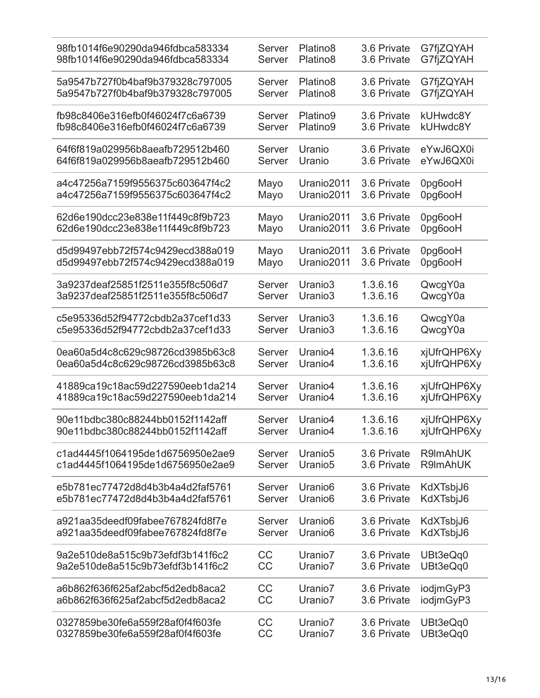| 98fb1014f6e90290da946fdbca583334 | Server    | Platino <sub>8</sub> | 3.6 Private | G7fjZQYAH   |
|----------------------------------|-----------|----------------------|-------------|-------------|
| 98fb1014f6e90290da946fdbca583334 | Server    | Platino8             | 3.6 Private | G7fjZQYAH   |
| 5a9547b727f0b4baf9b379328c797005 | Server    | Platino <sub>8</sub> | 3.6 Private | G7fjZQYAH   |
| 5a9547b727f0b4baf9b379328c797005 | Server    | Platino <sub>8</sub> | 3.6 Private | G7fjZQYAH   |
| fb98c8406e316efb0f46024f7c6a6739 | Server    | Platino9             | 3.6 Private | kUHwdc8Y    |
| fb98c8406e316efb0f46024f7c6a6739 | Server    | Platino9             | 3.6 Private | kUHwdc8Y    |
| 64f6f819a029956b8aeafb729512b460 | Server    | Uranio               | 3.6 Private | eYwJ6QX0i   |
| 64f6f819a029956b8aeafb729512b460 | Server    | Uranio               | 3.6 Private | eYwJ6QX0i   |
| a4c47256a7159f9556375c603647f4c2 | Mayo      | Uranio2011           | 3.6 Private | Opg6ooH     |
| a4c47256a7159f9556375c603647f4c2 | Mayo      | Uranio2011           | 3.6 Private | Opg6ooH     |
| 62d6e190dcc23e838e11f449c8f9b723 | Mayo      | Uranio2011           | 3.6 Private | Opg6ooH     |
| 62d6e190dcc23e838e11f449c8f9b723 | Mayo      | Uranio2011           | 3.6 Private | Opg6ooH     |
| d5d99497ebb72f574c9429ecd388a019 | Mayo      | Uranio2011           | 3.6 Private | Opg6ooH     |
| d5d99497ebb72f574c9429ecd388a019 | Mayo      | Uranio2011           | 3.6 Private | Opg6ooH     |
| 3a9237deaf25851f2511e355f8c506d7 | Server    | Uranio3              | 1.3.6.16    | QwcgY0a     |
| 3a9237deaf25851f2511e355f8c506d7 | Server    | Uranio3              | 1.3.6.16    | QwcgY0a     |
| c5e95336d52f94772cbdb2a37cef1d33 | Server    | Uranio3              | 1.3.6.16    | QwcgY0a     |
| c5e95336d52f94772cbdb2a37cef1d33 | Server    | Uranio3              | 1.3.6.16    | QwcgY0a     |
| 0ea60a5d4c8c629c98726cd3985b63c8 | Server    | Uranio <sub>4</sub>  | 1.3.6.16    | xjUfrQHP6Xy |
| 0ea60a5d4c8c629c98726cd3985b63c8 | Server    | Uranio4              | 1.3.6.16    | xjUfrQHP6Xy |
| 41889ca19c18ac59d227590eeb1da214 | Server    | Uranio4              | 1.3.6.16    | xjUfrQHP6Xy |
| 41889ca19c18ac59d227590eeb1da214 | Server    | Uranio4              | 1.3.6.16    | xjUfrQHP6Xy |
| 90e11bdbc380c88244bb0152f1142aff | Server    | Uranio4              | 1.3.6.16    | xjUfrQHP6Xy |
| 90e11bdbc380c88244bb0152f1142aff | Server    | Uranio4              | 1.3.6.16    | xjUfrQHP6Xy |
| c1ad4445f1064195de1d6756950e2ae9 | Server    | Uranio <sub>5</sub>  | 3.6 Private | R9ImAhUK    |
| c1ad4445f1064195de1d6756950e2ae9 | Server    | Uranio <sub>5</sub>  | 3.6 Private | R9ImAhUK    |
| e5b781ec77472d8d4b3b4a4d2faf5761 | Server    | Uranio <sub>6</sub>  | 3.6 Private | KdXTsbjJ6   |
| e5b781ec77472d8d4b3b4a4d2faf5761 | Server    | Uranio <sub>6</sub>  | 3.6 Private | KdXTsbjJ6   |
| a921aa35deedf09fabee767824fd8f7e | Server    | Uranio <sub>6</sub>  | 3.6 Private | KdXTsbjJ6   |
| a921aa35deedf09fabee767824fd8f7e | Server    | Uranio <sub>6</sub>  | 3.6 Private | KdXTsbjJ6   |
| 9a2e510de8a515c9b73efdf3b141f6c2 | CC        | Uranio7              | 3.6 Private | UBt3eQq0    |
| 9a2e510de8a515c9b73efdf3b141f6c2 | <b>CC</b> | Uranio7              | 3.6 Private | UBt3eQq0    |
| a6b862f636f625af2abcf5d2edb8aca2 | <b>CC</b> | Uranio7              | 3.6 Private | iodjmGyP3   |
| a6b862f636f625af2abcf5d2edb8aca2 | CC        | Uranio7              | 3.6 Private | iodjmGyP3   |
| 0327859be30fe6a559f28af0f4f603fe | CC        | Uranio7              | 3.6 Private | UBt3eQq0    |
| 0327859be30fe6a559f28af0f4f603fe | CC        | Uranio7              | 3.6 Private | UBt3eQq0    |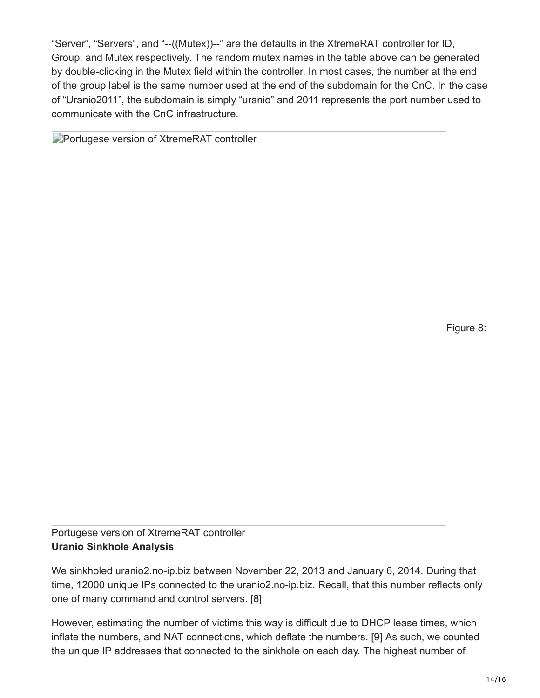"Server", "Servers", and "--((Mutex))--" are the defaults in the XtremeRAT controller for ID, Group, and Mutex respectively. The random mutex names in the table above can be generated by double-clicking in the Mutex field within the controller. In most cases, the number at the end of the group label is the same number used at the end of the subdomain for the CnC. In the case of "Uranio2011", the subdomain is simply "uranio" and 2011 represents the port number used to communicate with the CnC infrastructure.

**Portugese version of XtremeRAT controller** Figure 8: Portugese version of XtremeRAT controller

# **Uranio Sinkhole Analysis**

We sinkholed uranio2.no-ip.biz between November 22, 2013 and January 6, 2014. During that time, 12000 unique IPs connected to the uranio2.no-ip.biz. Recall, that this number reflects only one of many command and control servers. [8]

However, estimating the number of victims this way is difficult due to DHCP lease times, which inflate the numbers, and NAT connections, which deflate the numbers. [9] As such, we counted the unique IP addresses that connected to the sinkhole on each day. The highest number of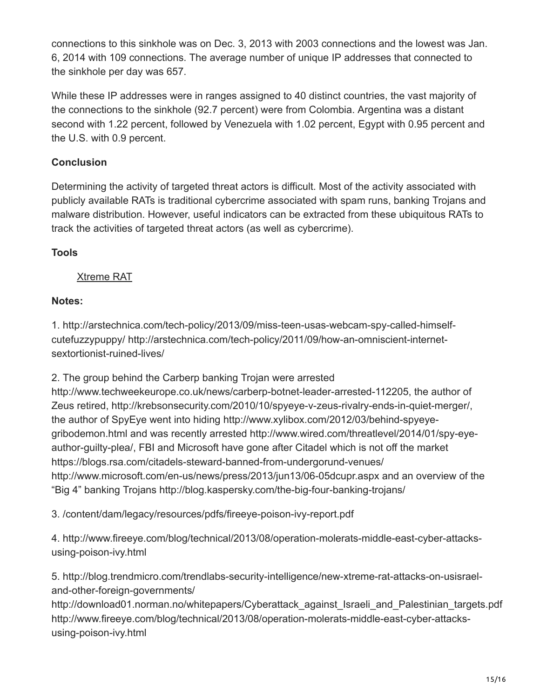connections to this sinkhole was on Dec. 3, 2013 with 2003 connections and the lowest was Jan. 6, 2014 with 109 connections. The average number of unique IP addresses that connected to the sinkhole per day was 657.

While these IP addresses were in ranges assigned to 40 distinct countries, the vast majority of the connections to the sinkhole (92.7 percent) were from Colombia. Argentina was a distant second with 1.22 percent, followed by Venezuela with 1.02 percent, Egypt with 0.95 percent and the U.S. with 0.9 percent.

## **Conclusion**

Determining the activity of targeted threat actors is difficult. Most of the activity associated with publicly available RATs is traditional cybercrime associated with spam runs, banking Trojans and malware distribution. However, useful indicators can be extracted from these ubiquitous RATs to track the activities of targeted threat actors (as well as cybercrime).

## **Tools**

## [Xtreme RAT](https://github.com/fireeye/tools/tree/master/malware/Xtreme%20RAT)

## **Notes:**

1. http://arstechnica.com/tech-policy/2013/09/miss-teen-usas-webcam-spy-called-himselfcutefuzzypuppy/ http://arstechnica.com/tech-policy/2011/09/how-an-omniscient-internetsextortionist-ruined-lives/

2. The group behind the Carberp banking Trojan were arrested

http://www.techweekeurope.co.uk/news/carberp-botnet-leader-arrested-112205, the author of Zeus retired, http://krebsonsecurity.com/2010/10/spyeye-v-zeus-rivalry-ends-in-quiet-merger/, the author of SpyEye went into hiding http://www.xylibox.com/2012/03/behind-spyeyegribodemon.html and was recently arrested http://www.wired.com/threatlevel/2014/01/spy-eyeauthor-guilty-plea/, FBI and Microsoft have gone after Citadel which is not off the market https://blogs.rsa.com/citadels-steward-banned-from-undergorund-venues/ http://www.microsoft.com/en-us/news/press/2013/jun13/06-05dcupr.aspx and an overview of the "Big 4" banking Trojans http://blog.kaspersky.com/the-big-four-banking-trojans/

3. /content/dam/legacy/resources/pdfs/fireeye-poison-ivy-report.pdf

4. http://www.fireeye.com/blog/technical/2013/08/operation-molerats-middle-east-cyber-attacksusing-poison-ivy.html

5. http://blog.trendmicro.com/trendlabs-security-intelligence/new-xtreme-rat-attacks-on-usisraeland-other-foreign-governments/

http://download01.norman.no/whitepapers/Cyberattack\_against\_Israeli\_and\_Palestinian\_targets.pdf http://www.fireeye.com/blog/technical/2013/08/operation-molerats-middle-east-cyber-attacksusing-poison-ivy.html